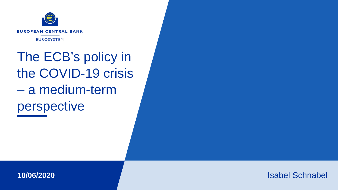

The ECB's policy in the COVID-19 crisis – a medium-term perspective



Isabel Schnabel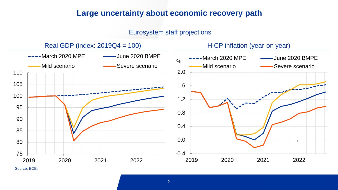## **Large uncertainty about economic recovery path**

#### Eurosystem staff projections



Source: ECB.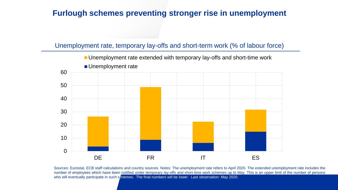# **Furlough schemes preventing stronger rise in unemployment**

#### Unemployment rate, temporary lay-offs and short-term work (% of labour force)



Sources: Eurostat, ECB staff calculations and country sources. Notes: The unemployment rate refers to April 2020. The extended unemployment rate includes the number of employees which have been notified under temporary lay-offs and short-time work schemes up to May. This is an upper limit of the number of persons who will eventually participate in such schemes. The final numbers will be lower. Last observation: May 2020.

3 www.ecb.europa.eu © www.ecb.europa.eu © www.ecb.europa.eu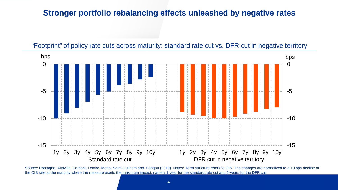#### **Stronger portfolio rebalancing effects unleashed by negative rates**





Source: Rostagno, Altavilla, Carboni, Lemke, Motto, Saint-Guilhem and Yiangou (2019). Notes: Term structure refers to OIS. The changes are normalized to a 10 bps decline of the OIS rate at the maturity where the measure exerts the maximum impact, namely 1-year for the standard rate cut and 5-years for the DFR cut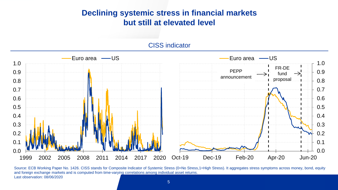# **Declining systemic stress in financial markets but still at elevated level**

#### CISS indicator



Source: ECB Working Paper No. 1426. CISS stands for Composite Indicator of Systemic Stress (0=No Stress,1=High Stress). It aggregates stress symptoms across money, bond, equity and foreign exchange markets and is computed from time-varying correlations among individual asset returns. Last observation: 08/06/2020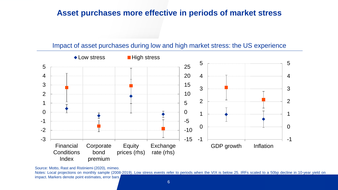## **Asset purchases more effective in periods of market stress**

#### Impact of asset purchases during low and high market stress: the US experience



Source: Motto, Rast and Ristiniemi (2020), mimeo.

Notes: Local projections on monthly sample (2008-2019). Low stress events refer to periods when the VIX is below 25. IRFs scaled to a 50bp decline in 10-year yield on impact. Markers denote point estimates, error bars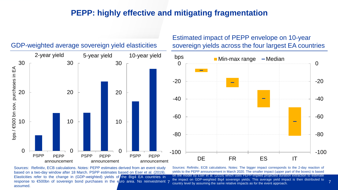#### **PEPP: highly effective and mitigating fragmentation**



#### GDP-weighted average sovereign yield elasticities

response to €500bn of sovereign bond purchases in the euro area. No reinvestment 7 Sources: Refinitiv, ECB calculations. Notes: PEPP estimates derived from an event study based on a two-day window after 18 March. PSPP estimates based on Eser et al. (2019). Elasticities refer to the change in (GDP-weighted) yields of the Big4 EA countries in assumed.

the impact on GDP-weighted Big4 sovereign yields. This average yield impact is then distributed to 7<br>country level by assuming the same relative impacts as for the event approach. Sources: Refinitiv, ECB calculations. Notes: The bigger impact corresponds to the 2-day reaction of yields to the PEPP announcement in March 2020. The smaller impact (upper part of the boxes) is based on the model by Eser et al. (2019) which uses PEPP-implied projected duration extraction to estimate country level by assuming the same relative impacts as for the event approach.

Estimated impact of PEPP envelope on 10-year

sovereign yields across the four largest EA countries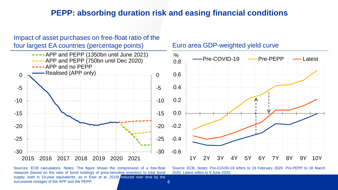## **PEPP: absorbing duration risk and easing financial conditions**



8

Sources: ECB calculations. Notes: The figure shows the compression of a free-float measure (based on the ratio of bond holdings of price-sensitive investors to total bond supply, both in 10-year equivalents, as in Eser et al. 2019) induced over time by the successive vintages of the APP and the PEPP.

Source: ECB. Notes: Pre-COVID-19 refers to 19 February 2020. Pre-PEPP to 18 March 2020. Latest refers to 9 June 2020.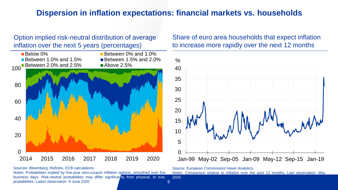# **Dispersion in inflation expectations: financial markets vs. households**

Option implied risk-neutral distribution of average inflation over the next 5 years (percentages)



Sources: Bloomberg, Refinitiv, ECB calculations.

Notes: Probabilities implied by five-year zero-coupon inflation options, smoothed over five business days. Risk-neutral probabilities may differ significantly from physical, or true, probabilities. Latest observation: 8 June 2020

#### Share of euro area households that expect inflation to increase more rapidly over the next 12 months



Source: European Commission/ Haver Analytics.

Notes: Comparison relative to inflation over the past 12 months. Last observation: May 2020.

 $9$  www.ecb.europa.eu  $\sim$  www.ecb.europa.eu  $\sim$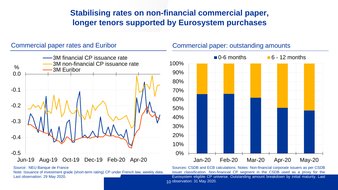# **Stabilising rates on non-financial commercial paper, longer tenors supported by Eurosystem purchases**

# -0.5 -0.4 -0.3 -0.2 -0.1 0.0 Jun-19 Aug-19 Oct-19 Dec-19 Feb-20 Apr-20 % 3M financial CP issuance rate 3M non-financial CP issuance rate 3M Euribor

Source: NEU Banque de France

Note: Issuance of investment grade (short-term rating) CP under French law, weekly data. Last observation: 29 May 2020.

#### Commercial paper rates and Euribor Commercial paper: outstanding amounts



Sources: CSDB and ECB calculations. Notes: Non-financial corporate issuers as per CSDB issuer classification. Non-financial CP segment in the CSDB used as a proxy for the Eurosystem eligible CP universe. Outstanding amount breakdown by initial maturity. Last observation: 31 May 2020. 10